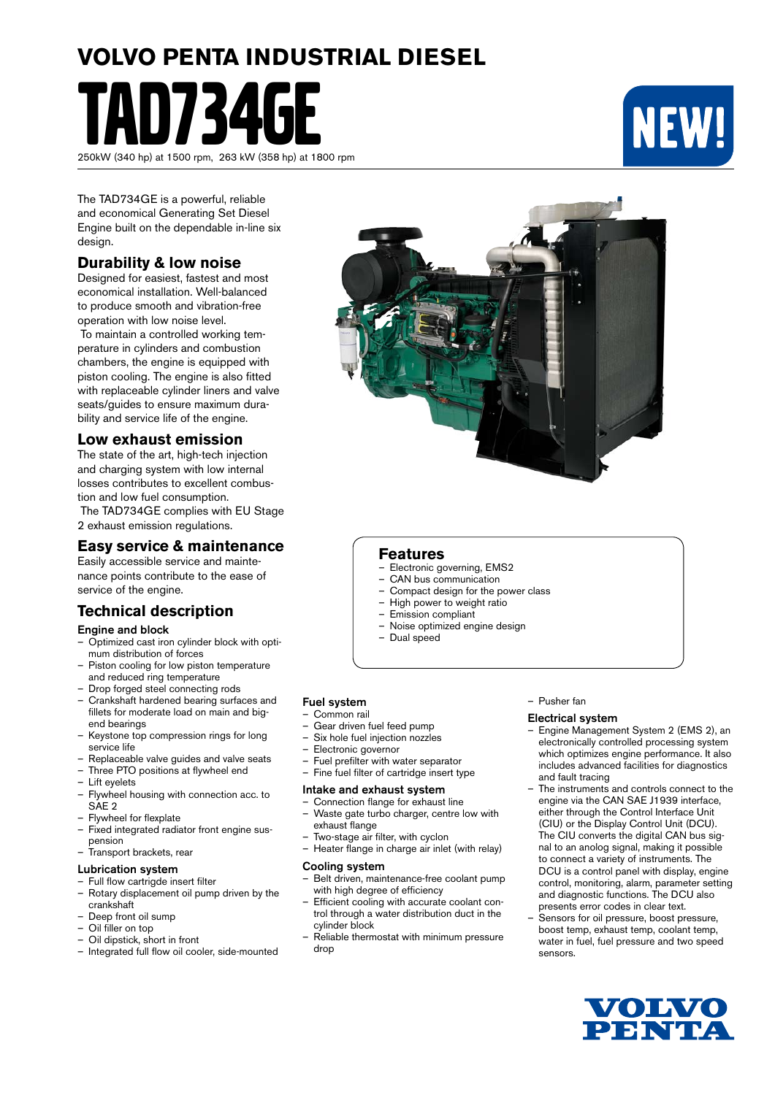# **VOLVO PENTA INDUSTRIAL DIESEL**

1734 250kW (340 hp) at 1500 rpm, 263 kW (358 hp) at 1800 rpm



The TAD734GE is a powerful, reliable and economical Generating Set Diesel Engine built on the dependable in-line six design.

# **Durability & low noise**

Designed for easiest, fastest and most economical installation. Well-balanced to produce smooth and vibration-free operation with low noise level.

 To maintain a controlled working temperature in cylinders and combustion chambers, the engine is equipped with piston cooling. The engine is also fitted with replaceable cylinder liners and valve seats/guides to ensure maximum durability and service life of the engine.

# **Low exhaust emission**

The state of the art, high-tech injection and charging system with low internal losses contributes to excellent combustion and low fuel consumption.

 The TAD734GE complies with EU Stage 2 exhaust emission regulations.

## **Easy service & maintenance**

Easily accessible service and maintenance points contribute to the ease of service of the engine.

# **Technical description**

#### Engine and block

- Optimized cast iron cylinder block with optimum distribution of forces
- Piston cooling for low piston temperature and reduced ring temperature
- Drop forged steel connecting rods
- Crankshaft hardened bearing surfaces and fillets for moderate load on main and bigend bearings
- Keystone top compression rings for long service life
- Replaceable valve guides and valve seats Three PTO positions at flywheel end
- 
- Lift eyelets – Flywheel housing with connection acc. to SAE<sub>2</sub>
- Flywheel for flexplate
- Fixed integrated radiator front engine suspension
- Transport brackets, rear

#### Lubrication system

- Full flow cartrigde insert filter<br>– Rotary displacement oil pump
- Rotary displacement oil pump driven by the crankshaft
- Deep front oil sump
- Oil filler on top
- Oil dipstick, short in front
- Integrated full flow oil cooler, side-mounted



# **Features**

- Electronic governing, EMS2<br>– CAN bus communication
- CAN bus communication
- Compact design for the power class
- High power to weight ratio
- Emission compliant
- Noise optimized engine design
- Dual speed

## Fuel system

- Common rail
- Gear driven fuel feed pump
- Six hole fuel injection nozzles
- Electronic governor
- Fuel prefilter with water separator
- Fine fuel filter of cartridge insert type

#### Intake and exhaust system

- Connection flange for exhaust line – Waste gate turbo charger, centre low with exhaust flange
- Two-stage air filter, with cyclon
- Heater flange in charge air inlet (with relay)

#### Cooling system

- Belt driven, maintenance-free coolant pump with high degree of efficiency
- Efficient cooling with accurate coolant control through a water distribution duct in the cylinder block
- Reliable thermostat with minimum pressure drop

#### – Pusher fan

#### Electrical system

- Engine Management System 2 (EMS 2), an electronically controlled processing system which optimizes engine performance. It also includes advanced facilities for diagnostics and fault tracing
- The instruments and controls connect to the engine via the CAN SAE J1939 interface, either through the Control Interface Unit (CIU) or the Display Control Unit (DCU). The CIU converts the digital CAN bus signal to an anolog signal, making it possible to connect a variety of instruments. The DCU is a control panel with display, engine control, monitoring, alarm, parameter setting and diagnostic functions. The DCU also presents error codes in clear text.
- Sensors for oil pressure, boost pressure, boost temp, exhaust temp, coolant temp, water in fuel, fuel pressure and two speed sensors.